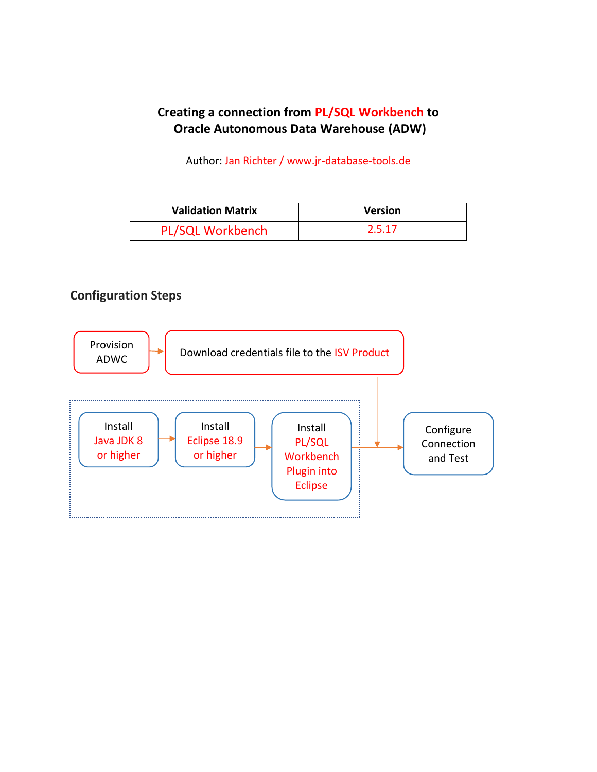## **Creating a connection from PL/SQL Workbench to Oracle Autonomous Data Warehouse (ADW)**

Author: Jan Richter / www.jr-database-tools.de

| <b>Validation Matrix</b> | <b>Version</b> |
|--------------------------|----------------|
| <b>PL/SQL Workbench</b>  | 2.5.17         |

### **Configuration Steps**

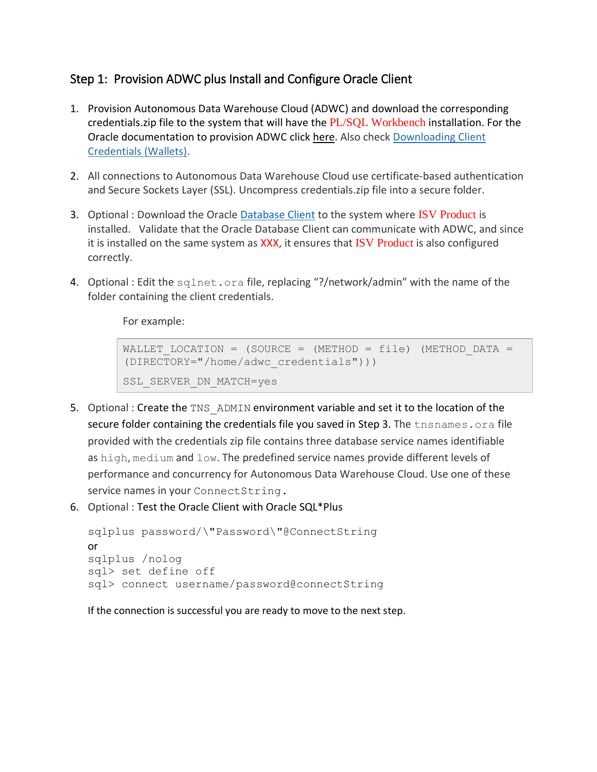### Step 1: Provision ADWC plus Install and Configure Oracle Client

- 1. Provision Autonomous Data Warehouse Cloud (ADWC) and download the corresponding credentials.zip file to the system that will have the PL/SQL Workbench installation. For the Oracle documentation to provision ADWC click [here.](http://www.oracle.com/webfolder/technetwork/tutorials/obe/cloud/adwc/OBE_Provisioning_Autonomous_Data_Warehouse_Cloud_bak/provisioning_autonomous_data_warehouse_cloud_v2.html) Also check [Downloading Client](https://docs.oracle.com/en/cloud/paas/autonomous-data-warehouse-cloud/user/connect-download-wallet.html#GUID-B06202D2-0597-41AA-9481-3B174F75D4B1)  [Credentials \(Wallets\).](https://docs.oracle.com/en/cloud/paas/autonomous-data-warehouse-cloud/user/connect-download-wallet.html#GUID-B06202D2-0597-41AA-9481-3B174F75D4B1)
- 2. All connections to Autonomous Data Warehouse Cloud use certificate-based authentication and Secure Sockets Layer (SSL). Uncompress credentials.zip file into a secure folder.
- 3. Optional : Download the Oracle [Database Client](https://www.oracle.com/technetwork/database/database-technologies/instant-client/overview/index.html) to the system where ISV Product is installed. Validate that the Oracle Database Client can communicate with ADWC, and since it is installed on the same system as XXX, it ensures that ISV Product is also configured correctly.
- 4. Optional : Edit the sqlnet.ora file, replacing "?/network/admin" with the name of the folder containing the client credentials.

For example:

```
WALLET LOCATION = (SOURCE = (METHOD = file) (METHOD DATA =
(DIRECTORY="/home/adwc_credentials")))
SSL_SERVER_DN_MATCH=yes
```
- 5. Optional : Create the TNS ADMIN environment variable and set it to the location of the secure folder containing the credentials file you saved in Step 3. The tnsnames. ora file provided with the credentials zip file contains three database service names identifiable as high, medium and low. The predefined service names provide different levels of performance and concurrency for Autonomous Data Warehouse Cloud. Use one of these service names in your ConnectString.
- 6. Optional : Test the Oracle Client with Oracle SQL\*Plus

```
sqlplus password/\"Password\"@ConnectString
or
sqlplus /nolog
sql> set define off
sql> connect username/password@connectString
```
If the connection is successful you are ready to move to the next step.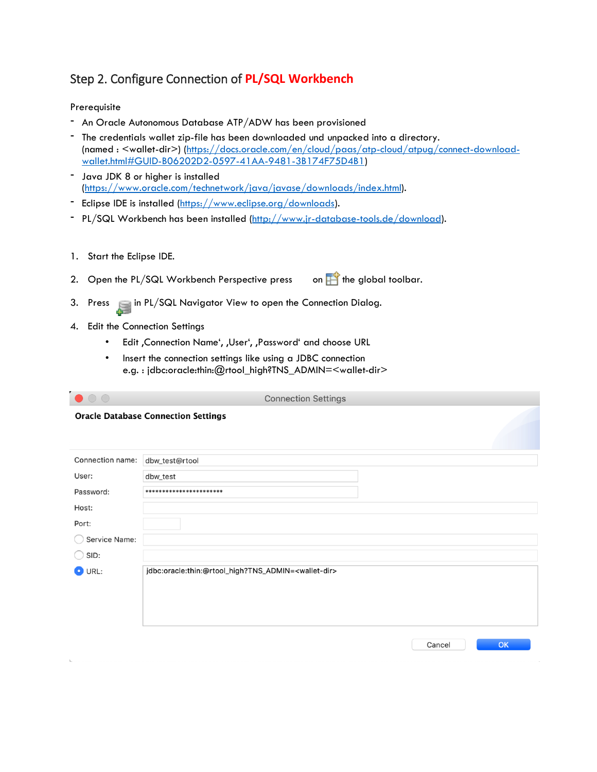## Step 2. Configure Connection of **PL/SQL Workbench**

#### Prerequisite

- An Oracle Autonomous Database ATP/ADW has been provisioned
- The credentials wallet zip-file has been downloaded und unpacked into a directory. (named : <wallet-dir>) [\(https://docs.oracle.com/en/cloud/paas/atp-cloud/atpug/connect-download](https://docs.oracle.com/en/cloud/paas/atp-cloud/atpug/connect-download-wallet.html#GUID-B06202D2-0597-41AA-9481-3B174F75D4B1)[wallet.html#GUID-B06202D2-0597-41AA-9481-3B174F75D4B1\)](https://docs.oracle.com/en/cloud/paas/atp-cloud/atpug/connect-download-wallet.html#GUID-B06202D2-0597-41AA-9481-3B174F75D4B1)
- Java JDK 8 or higher is installed [\(https://www.oracle.com/technetwork/java/javase/downloads/index.html\)](https://www.oracle.com/technetwork/java/javase/downloads/index.html).
- Eclipse IDE is installed [\(https://www.eclipse.org/downloads\)](https://www.eclipse.org/downloads).
- PL/SQL Workbench has been installed [\(http://www.jr-database-tools.de/download\)](http://www.jr-database-tools.de/download).
- 1. Start the Eclipse IDE.
- 2. Open the PL/SQL Workbench Perspective press on  $\overline{H}$  the global toolbar.
- 3. Press in PL/SQL Navigator View to open the Connection Dialog.
- 4. Edit the Connection Settings
	- Edit , Connection Name', , User', , Password' and choose URL
	- Insert the connection settings like using a JDBC connection e.g. : jdbc:oracle:thin:@rtool\_high?TNS\_ADMIN=<wallet-dir>

| $\bullet$ 00                                        | <b>Connection Settings</b>                                        |
|-----------------------------------------------------|-------------------------------------------------------------------|
|                                                     | <b>Oracle Database Connection Settings</b>                        |
| Connection name:                                    | dbw_test@rtool                                                    |
| User:                                               | dbw_test                                                          |
| Password:                                           | ***********************                                           |
| Host:                                               |                                                                   |
| Port:                                               |                                                                   |
| Service Name:<br>0                                  |                                                                   |
| SID:<br>$\left(\begin{array}{c} \end{array}\right)$ |                                                                   |
| O URL:                                              | jdbc:oracle:thin:@rtool_high?TNS_ADMIN= <wallet-dir></wallet-dir> |
|                                                     | OK<br>Cancel                                                      |